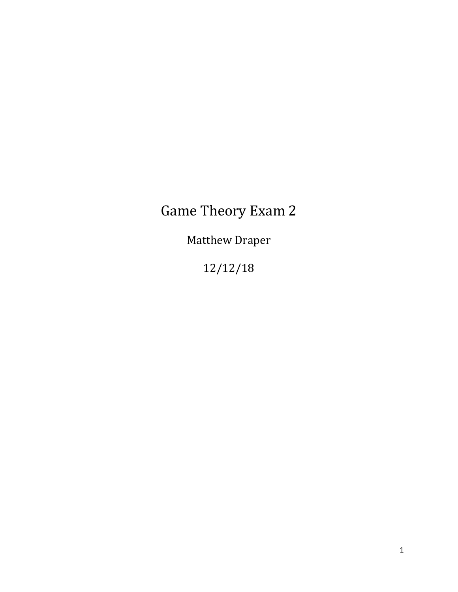## Game Theory Exam 2

Matthew Draper

12/12/18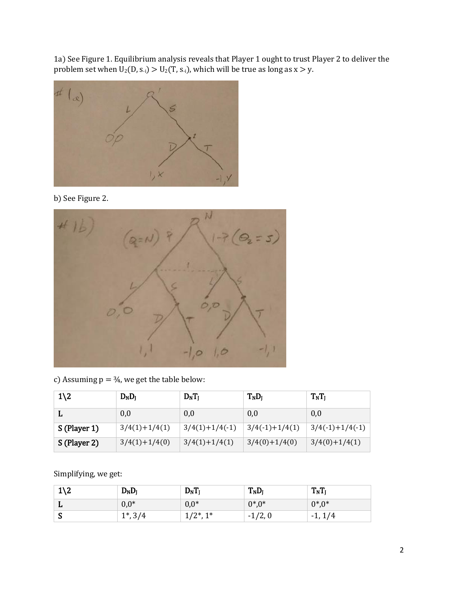1a) See Figure 1. Equilibrium analysis reveals that Player 1 ought to trust Player 2 to deliver the problem set when  $U_2(D, s_{-i}) > U_2(T, s_{-i})$ , which will be true as long as  $x > y$ .



b) See Figure 2.



c) Assuming  $p = 34$ , we get the table below:

| $1\angle 2$  | D <sub>N</sub> D <sub>I</sub> | $D_N T_I$        | T <sub>N</sub> D <sub>I</sub> | $T_NT_J$          |
|--------------|-------------------------------|------------------|-------------------------------|-------------------|
|              | 0,0                           | 0,0              | 0,0                           | 0,0               |
| S (Player 1) | $3/4(1)+1/4(1)$               | $3/4(1)+1/4(-1)$ | $3/4(-1)+1/4(1)$              | $3/4(-1)+1/4(-1)$ |
| S (Player 2) | $3/4(1)+1/4(0)$               | $3/4(1)+1/4(1)$  | $3/4(0)+1/4(0)$               | $3/4(0)+1/4(1)$   |

Simplifying, we get:

| $1\angle 2$ | $D_ND_I$    | $D_N T_I$    | $T_N D_I$ | $T_NT_J$  |
|-------------|-------------|--------------|-----------|-----------|
| ш           | $0,0^*$     | $0,0*$       | $0^*0^*$  | $0^*0^*$  |
| M           | $1^*$ , 3/4 | $(2^*, 1^*)$ | $-1/2, 0$ | $-1, 1/4$ |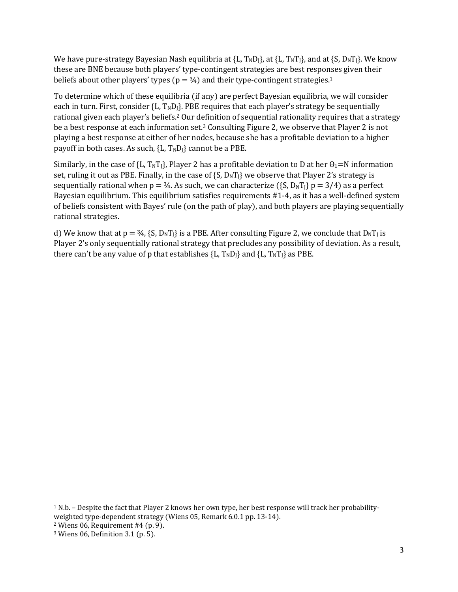We have pure-strategy Bayesian Nash equilibria at  ${L, T_ND_l}$ , at  ${L, T_NT_l}$ , and at  ${S, D_NT_l}$ . We know these are BNE because both players' type-contingent strategies are best responses given their beliefs about other players' types ( $p = \frac{3}{4}$ ) and their type-contingent strategies.<sup>1</sup>

To determine which of these equilibria (if any) are perfect Bayesian equilibria, we will consider each in turn. First, consider  ${L, T_ND_l}$ . PBE requires that each player's strategy be sequentially rational given each player's beliefs.<sup>2</sup> Our definition of sequential rationality requires that a strategy be a best response at each information set.<sup>3</sup> Consulting Figure 2, we observe that Player 2 is not playing a best response at either of her nodes, because she has a profitable deviation to a higher payoff in both cases. As such,  ${L, T_ND_l}$  cannot be a PBE.

Similarly, in the case of {L, T<sub>N</sub>T<sub>1</sub>}, Player 2 has a profitable deviation to D at her  $\theta_1 = N$  information set, ruling it out as PBE. Finally, in the case of  $\{S, D_N T\}$  we observe that Player 2's strategy is sequentially rational when  $p = 3/4$ . As such, we can characterize ({S, D<sub>N</sub>T<sub>1</sub>} p = 3/4) as a perfect Bayesian equilibrium. This equilibrium satisfies requirements #1-4, as it has a well-defined system of beliefs consistent with Bayes' rule (on the path of play), and both players are playing sequentially rational strategies.

d) We know that at  $p = 3/4$ , {S,  $D<sub>N</sub>T<sub>1</sub>$ } is a PBE. After consulting Figure 2, we conclude that  $D<sub>N</sub>T<sub>1</sub>$  is Player 2's only sequentially rational strategy that precludes any possibility of deviation. As a result, there can't be any value of p that establishes  ${L, T_ND_l}$  and  ${L, T_NT_l}$  as PBE.

 $\overline{\phantom{a}}$ 

<sup>1</sup> N.b. – Despite the fact that Player 2 knows her own type, her best response will track her probabilityweighted type-dependent strategy (Wiens 05, Remark 6.0.1 pp. 13-14).

 $2$  Wiens 06, Requirement #4 (p. 9).

<sup>3</sup> Wiens 06, Definition 3.1 (p. 5).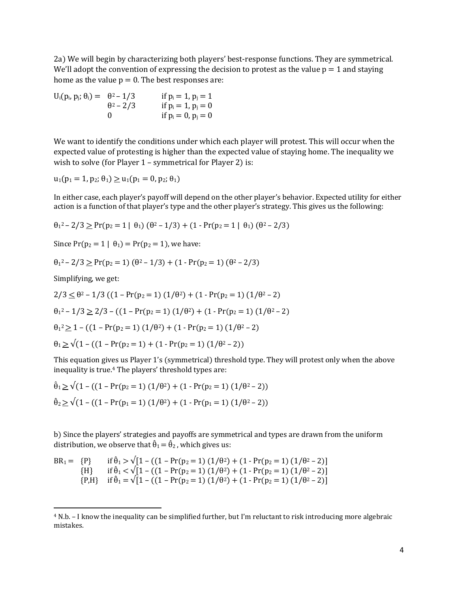2a) We will begin by characterizing both players' best-response functions. They are symmetrical. We'll adopt the convention of expressing the decision to protest as the value  $p = 1$  and staying home as the value  $p = 0$ . The best responses are:

 $U_i(p_i, p_j; \theta_i) = \theta^2 - 1/3$  if  $p_i = 1, p_j = 1$  $\theta^2 - 2/3$  if  $p_i = 1$ ,  $p_j = 0$ 0 if  $p_i = 0$ ,  $p_j = 0$ 

We want to identify the conditions under which each player will protest. This will occur when the expected value of protesting is higher than the expected value of staying home. The inequality we wish to solve (for Player 1 – symmetrical for Player 2) is:

$$
u_1(p_1 = 1, p_2; \theta_1) \ge u_1(p_1 = 0, p_2; \theta_1)
$$

In either case, each player's payoff will depend on the other player's behavior. Expected utility for either action is a function of that player's type and the other player's strategy. This gives us the following:

 $θ<sub>1</sub><sup>2</sup> - 2/3 ≥ Pr(p<sub>2</sub> = 1 | θ<sub>1</sub>) (θ<sup>2</sup> – 1/3) + (1 - Pr(p<sub>2</sub> = 1 | θ<sub>1</sub>) (θ<sup>2</sup> – 2/3)$ 

Since  $Pr(p_2 = 1 | \theta_1) = Pr(p_2 = 1)$ , we have:

$$
\theta_1^2 - 2/3 \ge \Pr(p_2 = 1) (\theta^2 - 1/3) + (1 - \Pr(p_2 = 1) (\theta^2 - 2/3)
$$

Simplifying, we get:

 $\overline{\phantom{a}}$ 

$$
2/3 \leq \theta^2 - 1/3 \left( (1 - \Pr(p_2 = 1) (1/\theta^2) + (1 - \Pr(p_2 = 1) (1/\theta^2 - 2) \right)
$$
  
\n
$$
\theta_1^2 - 1/3 \geq 2/3 - \left( (1 - \Pr(p_2 = 1) (1/\theta^2) + (1 - \Pr(p_2 = 1) (1/\theta^2 - 2) \right)
$$
  
\n
$$
\theta_1^2 \geq 1 - \left( (1 - \Pr(p_2 = 1) (1/\theta^2) + (1 - \Pr(p_2 = 1) (1/\theta^2 - 2) \right)
$$
  
\n
$$
\theta_1 \geq \sqrt{(1 - ((1 - \Pr(p_2 = 1) + (1 - \Pr(p_2 = 1) (1/\theta^2 - 2)))}
$$

This equation gives us Player 1's (symmetrical) threshold type. They will protest only when the above inequality is true.<sup>4</sup> The players' threshold types are:

$$
\hat{\theta}_1 \ge \sqrt{(1 - ((1 - Pr(p_2 = 1) (1/\theta^2) + (1 - Pr(p_2 = 1) (1/\theta^2 - 2)))}
$$
  

$$
\hat{\theta}_2 \ge \sqrt{(1 - ((1 - Pr(p_1 = 1) (1/\theta^2) + (1 - Pr(p_1 = 1) (1/\theta^2 - 2)))})
$$

 $\sim$ 

b) Since the players' strategies and payoffs are symmetrical and types are drawn from the uniform distribution, we observe that  $\hat{\theta}_1 = \hat{\theta}_2$ , which gives us:

BR<sub>1</sub> = {P} if 
$$
\hat{\theta}_1 > \sqrt{1 - ((1 - Pr(p_2 = 1) (1/\theta^2) + (1 - Pr(p_2 = 1) (1/\theta^2 - 2))}
$$
  
{H} if  $\hat{\theta}_1 < \sqrt{1 - ((1 - Pr(p_2 = 1) (1/\theta^2) + (1 - Pr(p_2 = 1) (1/\theta^2 - 2))}$   
{P,H} if  $\hat{\theta}_1 = \sqrt{1 - ((1 - Pr(p_2 = 1) (1/\theta^2) + (1 - Pr(p_2 = 1) (1/\theta^2 - 2))}$ 

<sup>4</sup> N.b. – I know the inequality can be simplified further, but I'm reluctant to risk introducing more algebraic mistakes.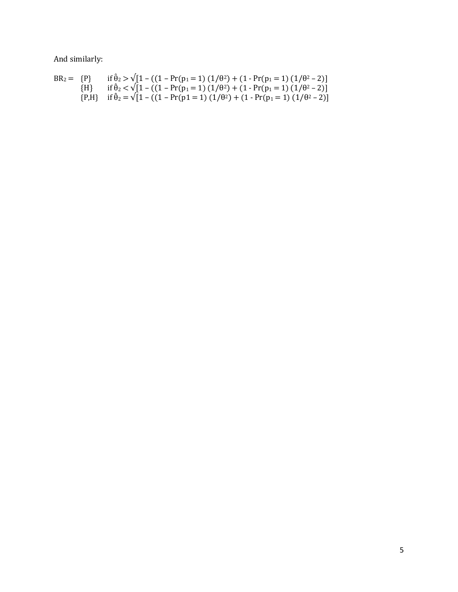And similarly:

$$
BR_2 = \{P\} \quad \text{if } \hat{\theta}_2 > \sqrt{1 - ((1 - \Pr(p_1 = 1) (1/\theta^2) + (1 - \Pr(p_1 = 1) (1/\theta^2 - 2)) \text{if } \hat{\theta}_2 < \sqrt{1 - ((1 - \Pr(p_1 = 1) (1/\theta^2) + (1 - \Pr(p_1 = 1) (1/\theta^2 - 2)) \text{if } \hat{\theta}_2 > \sqrt{1 - ((1 - \Pr(p_1 = 1) (1/\theta^2) + (1 - \Pr(p_1 = 1) (1/\theta^2 - 2)) \text{if } \hat{\theta}_2 < \sqrt{1 - ((1 - \Pr(p_1 = 1) (1/\theta^2) + (1 - \Pr(p_1 = 1) (1/\theta^2 - 2)) \text{if } \hat{\theta}_2 < \sqrt{1 - ((1 - \Pr(p_1 = 1) (1/\theta^2) + (1 - \Pr(p_1 = 1) (1/\theta^2 - 2)) \text{if } \hat{\theta}_2 < \sqrt{1 - ((1 - \Pr(p_1 = 1) (1/\theta^2) + (1 - \Pr(p_1 = 1) (1/\theta^2 - 2)) \text{if } \hat{\theta}_2 < \sqrt{1 - ((1 - \Pr(p_1 = 1) (1/\theta^2) + (1 - \Pr(p_1 = 1) (1/\theta^2 - 2)) \text{if } \hat{\theta}_2 < \sqrt{1 - ((1 - \Pr(p_1 = 1) (1/\theta^2) + (1 - \Pr(p_1 = 1) (1/\theta^2 - 2)) \text{if } \hat{\theta}_2 < \sqrt{1 - ((1 - \Pr(p_1 = 1) (1/\theta^2) + (1 - \Pr(p_1 = 1) (1/\theta^2 - 2)) \text{if } \hat{\theta}_2 < \sqrt{1 - ((1 - \Pr(p_1 = 1) (1/\theta^2) + (1 - \Pr(p_1 = 1) (1/\theta^2 - 2)) \text{if } \hat{\theta}_2 < \sqrt{1 - ((1 - \Pr(p_1 = 1) (1/\theta^2) + (1 - \Pr(p_1 = 1) (1/\theta^2 - 2)) \text{if } \hat{\theta}_2 < \sqrt{1 - ((1 - \Pr(p_1 = 1) (1/\theta^2) + (1 - \Pr(p_1 = 1) (1/\theta^2 - 2)) \text{if } \hat{\theta}_2 < \sqrt
$$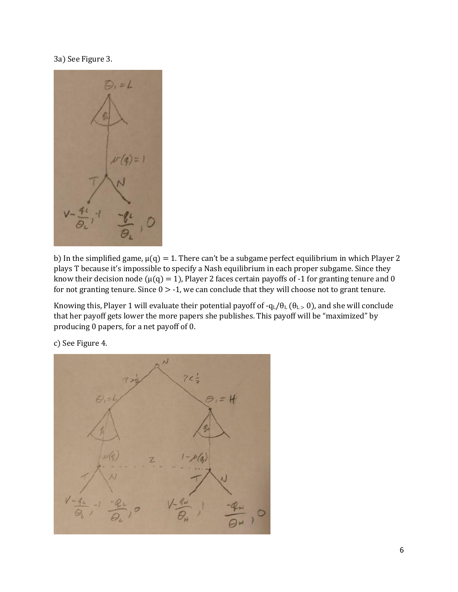## 3a) See Figure 3.



b) In the simplified game,  $\mu(q) = 1$ . There can't be a subgame perfect equilibrium in which Player 2 plays T because it's impossible to specify a Nash equilibrium in each proper subgame. Since they know their decision node ( $\mu$ (q) = 1), Player 2 faces certain payoffs of -1 for granting tenure and 0 for not granting tenure. Since  $0 > -1$ , we can conclude that they will choose not to grant tenure.

Knowing this, Player 1 will evaluate their potential payoff of  $-q_L/\theta_L$  ( $\theta_L > 0$ ), and she will conclude that her payoff gets lower the more papers she publishes. This payoff will be "maximized" by producing 0 papers, for a net payoff of 0.

c) See Figure 4.

 $74.1$  $\varphi$  $\theta_i = H$  $1 - \mu(q)$  $\overline{z}$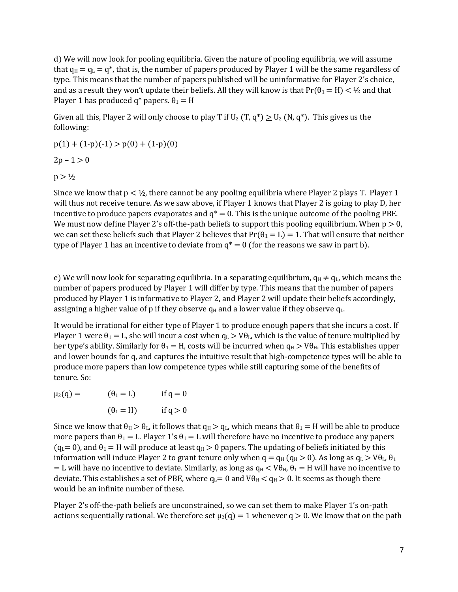d) We will now look for pooling equilibria. Given the nature of pooling equilibria, we will assume that  $q_H = q_L = q^*$ , that is, the number of papers produced by Player 1 will be the same regardless of type. This means that the number of papers published will be uninformative for Player 2's choice, and as a result they won't update their beliefs. All they will know is that  $Pr(\theta_1 = H) < \frac{1}{2}$  and that Player 1 has produced  $q^*$  papers.  $\theta_1 = H$ 

Given all this, Player 2 will only choose to play T if  $U_2$  (T,  $q^*$ )  $\ge U_2$  (N,  $q^*$ ). This gives us the following:

 $p(1) + (1-p)(-1) > p(0) + (1-p)(0)$ 

 $2p - 1 > 0$ 

 $p > \frac{1}{2}$ 

Since we know that  $p < \frac{1}{2}$ , there cannot be any pooling equilibria where Player 2 plays T. Player 1 will thus not receive tenure. As we saw above, if Player 1 knows that Player 2 is going to play D, her incentive to produce papers evaporates and  $q^* = 0$ . This is the unique outcome of the pooling PBE. We must now define Player 2's off-the-path beliefs to support this pooling equilibrium. When  $p > 0$ , we can set these beliefs such that Player 2 believes that  $Pr(\theta_1 = L) = 1$ . That will ensure that neither type of Player 1 has an incentive to deviate from  $q^* = 0$  (for the reasons we saw in part b).

e) We will now look for separating equilibria. In a separating equilibrium,  $q_H \neq q_L$ , which means the number of papers produced by Player 1 will differ by type. This means that the number of papers produced by Player 1 is informative to Player 2, and Player 2 will update their beliefs accordingly, assigning a higher value of p if they observe  $q_H$  and a lower value if they observe  $q_L$ .

It would be irrational for either type of Player 1 to produce enough papers that she incurs a cost. If Player 1 were  $\theta_1 = L$ , she will incur a cost when  $q_L > V\theta_L$ , which is the value of tenure multiplied by her type's ability. Similarly for  $\theta_1 = H$ , costs will be incurred when  $q_H > V\theta_H$ . This establishes upper and lower bounds for q, and captures the intuitive result that high-competence types will be able to produce more papers than low competence types while still capturing some of the benefits of tenure. So:

 $\mu_2(q) =$   $(\theta_1 = L)$  if  $q = 0$  $(\theta_1 = H)$  if  $q > 0$ 

Since we know that  $\theta_H > \theta_L$ , it follows that  $q_H > q_L$ , which means that  $\theta_1 = H$  will be able to produce more papers than  $\theta_1 = L$ . Player 1's  $\theta_1 = L$  will therefore have no incentive to produce any papers  $(q_L= 0)$ , and  $\theta_1 = H$  will produce at least  $q_H > 0$  papers. The updating of beliefs initiated by this information will induce Player 2 to grant tenure only when  $q = q_H (q_H > 0)$ . As long as  $q_L > V \theta_L$ ,  $\theta_1$ = L will have no incentive to deviate. Similarly, as long as  $q_H < V\theta_H$ ,  $\theta_1 = H$  will have no incentive to deviate. This establishes a set of PBE, where  $q_L= 0$  and  $V\theta_H < q_H > 0$ . It seems as though there would be an infinite number of these.

Player 2's off-the-path beliefs are unconstrained, so we can set them to make Player 1's on-path actions sequentially rational. We therefore set  $\mu_2(q) = 1$  whenever  $q > 0$ . We know that on the path